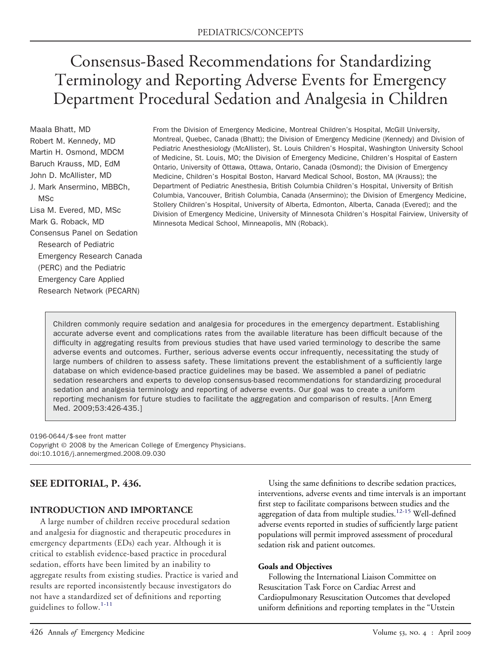# Consensus-Based Recommendations for Standardizing Terminology and Reporting Adverse Events for Emergency Department Procedural Sedation and Analgesia in Children

Maala Bhatt, MD Robert M. Kennedy, MD Martin H. Osmond, MDCM Baruch Krauss, MD, EdM John D. McAllister, MD J. Mark Ansermino, MBBCh, MSc Lisa M. Evered, MD, MSc Mark G. Roback, MD Consensus Panel on Sedation Research of Pediatric Emergency Research Canada (PERC) and the Pediatric Emergency Care Applied Research Network (PECARN)

From the Division of Emergency Medicine, Montreal Children's Hospital, McGill University, Montreal, Quebec, Canada (Bhatt); the Division of Emergency Medicine (Kennedy) and Division of Pediatric Anesthesiology (McAllister), St. Louis Children's Hospital, Washington University School of Medicine, St. Louis, MO; the Division of Emergency Medicine, Children's Hospital of Eastern Ontario, University of Ottawa, Ottawa, Ontario, Canada (Osmond); the Division of Emergency Medicine, Children's Hospital Boston, Harvard Medical School, Boston, MA (Krauss); the Department of Pediatric Anesthesia, British Columbia Children's Hospital, University of British Columbia, Vancouver, British Columbia, Canada (Ansermino); the Division of Emergency Medicine, Stollery Children's Hospital, University of Alberta, Edmonton, Alberta, Canada (Evered); and the Division of Emergency Medicine, University of Minnesota Children's Hospital Fairview, University of Minnesota Medical School, Minneapolis, MN (Roback).

Children commonly require sedation and analgesia for procedures in the emergency department. Establishing accurate adverse event and complications rates from the available literature has been difficult because of the difficulty in aggregating results from previous studies that have used varied terminology to describe the same adverse events and outcomes. Further, serious adverse events occur infrequently, necessitating the study of large numbers of children to assess safety. These limitations prevent the establishment of a sufficiently large database on which evidence-based practice guidelines may be based. We assembled a panel of pediatric sedation researchers and experts to develop consensus-based recommendations for standardizing procedural sedation and analgesia terminology and reporting of adverse events. Our goal was to create a uniform reporting mechanism for future studies to facilitate the aggregation and comparison of results. [Ann Emerg Med. 2009;53:426-435.]

0196-0644/\$-see front matter Copyright © 2008 by the American College of Emergency Physicians. doi:10.1016/j.annemergmed.2008.09.030

# **SEE EDITORIAL, P. 436.**

# **INTRODUCTION AND IMPORTANCE**

A large number of children receive procedural sedation and analgesia for diagnostic and therapeutic procedures in emergency departments (EDs) each year. Although it is critical to establish evidence-based practice in procedural sedation, efforts have been limited by an inability to aggregate results from existing studies. Practice is varied and results are reported inconsistently because investigators do not have a standardized set of definitions and reporting guidelines to follow. $1-11$ 

Using the same definitions to describe sedation practices, interventions, adverse events and time intervals is an important first step to facilitate comparisons between studies and the aggregation of data from multiple studies.<sup>[12-15](#page-8-0)</sup> Well-defined adverse events reported in studies of sufficiently large patient populations will permit improved assessment of procedural sedation risk and patient outcomes.

## **Goals and Objectives**

Following the International Liaison Committee on Resuscitation Task Force on Cardiac Arrest and Cardiopulmonary Resuscitation Outcomes that developed uniform definitions and reporting templates in the "Utstein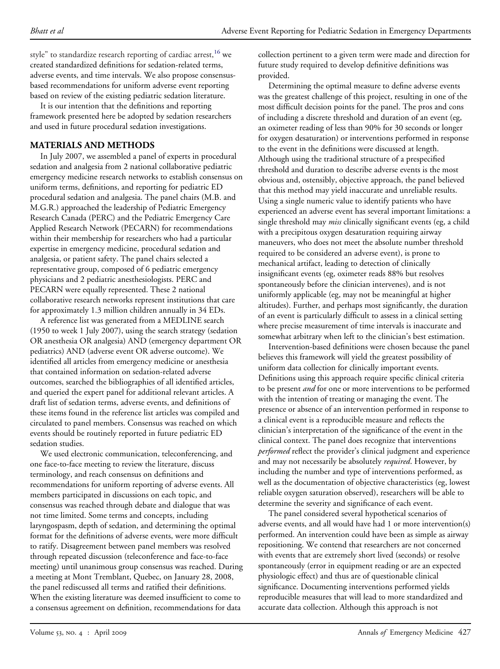style" to standardize research reporting of cardiac arrest,<sup>[16](#page-8-0)</sup> we created standardized definitions for sedation-related terms, adverse events, and time intervals. We also propose consensusbased recommendations for uniform adverse event reporting based on review of the existing pediatric sedation literature.

It is our intention that the definitions and reporting framework presented here be adopted by sedation researchers and used in future procedural sedation investigations.

# **MATERIALS AND METHODS**

In July 2007, we assembled a panel of experts in procedural sedation and analgesia from 2 national collaborative pediatric emergency medicine research networks to establish consensus on uniform terms, definitions, and reporting for pediatric ED procedural sedation and analgesia. The panel chairs (M.B. and M.G.R.) approached the leadership of Pediatric Emergency Research Canada (PERC) and the Pediatric Emergency Care Applied Research Network (PECARN) for recommendations within their membership for researchers who had a particular expertise in emergency medicine, procedural sedation and analgesia, or patient safety. The panel chairs selected a representative group, composed of 6 pediatric emergency physicians and 2 pediatric anesthesiologists. PERC and PECARN were equally represented. These 2 national collaborative research networks represent institutions that care for approximately 1.3 million children annually in 34 EDs.

A reference list was generated from a MEDLINE search (1950 to week 1 July 2007), using the search strategy (sedation OR anesthesia OR analgesia) AND (emergency department OR pediatrics) AND (adverse event OR adverse outcome). We identified all articles from emergency medicine or anesthesia that contained information on sedation-related adverse outcomes, searched the bibliographies of all identified articles, and queried the expert panel for additional relevant articles. A draft list of sedation terms, adverse events, and definitions of these items found in the reference list articles was compiled and circulated to panel members. Consensus was reached on which events should be routinely reported in future pediatric ED sedation studies.

We used electronic communication, teleconferencing, and one face-to-face meeting to review the literature, discuss terminology, and reach consensus on definitions and recommendations for uniform reporting of adverse events. All members participated in discussions on each topic, and consensus was reached through debate and dialogue that was not time limited. Some terms and concepts, including laryngospasm, depth of sedation, and determining the optimal format for the definitions of adverse events, were more difficult to ratify. Disagreement between panel members was resolved through repeated discussion (teleconference and face-to-face meeting) until unanimous group consensus was reached. During a meeting at Mont Tremblant, Quebec, on January 28, 2008, the panel rediscussed all terms and ratified their definitions. When the existing literature was deemed insufficient to come to a consensus agreement on definition, recommendations for data

collection pertinent to a given term were made and direction for future study required to develop definitive definitions was provided.

Determining the optimal measure to define adverse events was the greatest challenge of this project, resulting in one of the most difficult decision points for the panel. The pros and cons of including a discrete threshold and duration of an event (eg, an oximeter reading of less than 90% for 30 seconds or longer for oxygen desaturation) or interventions performed in response to the event in the definitions were discussed at length. Although using the traditional structure of a prespecified threshold and duration to describe adverse events is the most obvious and, ostensibly, objective approach, the panel believed that this method may yield inaccurate and unreliable results. Using a single numeric value to identify patients who have experienced an adverse event has several important limitations: a single threshold may *miss* clinically significant events (eg, a child with a precipitous oxygen desaturation requiring airway maneuvers, who does not meet the absolute number threshold required to be considered an adverse event), is prone to mechanical artifact, leading to detection of clinically insignificant events (eg, oximeter reads 88% but resolves spontaneously before the clinician intervenes), and is not uniformly applicable (eg, may not be meaningful at higher altitudes). Further, and perhaps most significantly, the duration of an event is particularly difficult to assess in a clinical setting where precise measurement of time intervals is inaccurate and somewhat arbitrary when left to the clinician's best estimation.

Intervention-based definitions were chosen because the panel believes this framework will yield the greatest possibility of uniform data collection for clinically important events. Definitions using this approach require specific clinical criteria to be present *and* for one or more interventions to be performed with the intention of treating or managing the event. The presence or absence of an intervention performed in response to a clinical event is a reproducible measure and reflects the clinician's interpretation of the significance of the event in the clinical context. The panel does recognize that interventions *performed* reflect the provider's clinical judgment and experience and may not necessarily be absolutely *required*. However, by including the number and type of interventions performed, as well as the documentation of objective characteristics (eg, lowest reliable oxygen saturation observed), researchers will be able to determine the severity and significance of each event.

The panel considered several hypothetical scenarios of adverse events, and all would have had 1 or more intervention(s) performed. An intervention could have been as simple as airway repositioning. We contend that researchers are not concerned with events that are extremely short lived (seconds) or resolve spontaneously (error in equipment reading or are an expected physiologic effect) and thus are of questionable clinical significance. Documenting interventions performed yields reproducible measures that will lead to more standardized and accurate data collection. Although this approach is not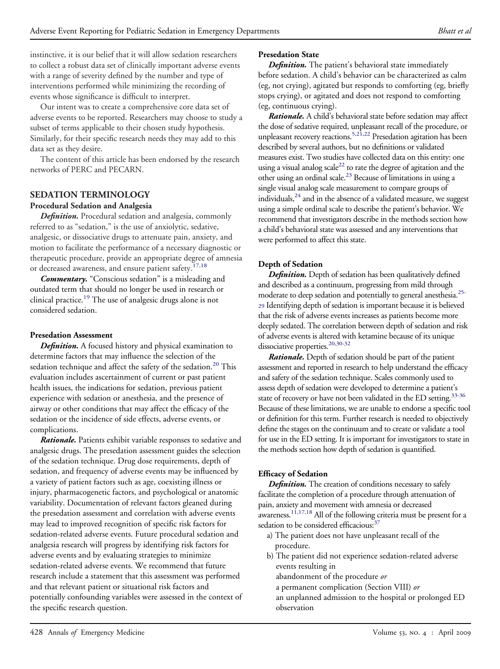instinctive, it is our belief that it will allow sedation researchers to collect a robust data set of clinically important adverse events with a range of severity defined by the number and type of interventions performed while minimizing the recording of events whose significance is difficult to interpret.

Our intent was to create a comprehensive core data set of adverse events to be reported. Researchers may choose to study a subset of terms applicable to their chosen study hypothesis. Similarly, for their specific research needs they may add to this data set as they desire.

The content of this article has been endorsed by the research networks of PERC and PECARN.

# **SEDATION TERMINOLOGY**

# **Procedural Sedation and Analgesia**

*Definition.* Procedural sedation and analgesia, commonly referred to as "sedation," is the use of anxiolytic, sedative, analgesic, or dissociative drugs to attenuate pain, anxiety, and motion to facilitate the performance of a necessary diagnostic or therapeutic procedure, provide an appropriate degree of amnesia or decreased awareness, and ensure patient safety.<sup>[17,18](#page-8-0)</sup>

*Commentary.* "Conscious sedation" is a misleading and outdated term that should no longer be used in research or clinical practice.<sup>[19](#page-8-0)</sup> The use of analgesic drugs alone is not considered sedation.

#### **Presedation Assessment**

*Definition.* A focused history and physical examination to determine factors that may influence the selection of the sedation technique and affect the safety of the sedation.<sup>[20](#page-8-0)</sup> This evaluation includes ascertainment of current or past patient health issues, the indications for sedation, previous patient experience with sedation or anesthesia, and the presence of airway or other conditions that may affect the efficacy of the sedation or the incidence of side effects, adverse events, or complications.

*Rationale.* Patients exhibit variable responses to sedative and analgesic drugs. The presedation assessment guides the selection of the sedation technique. Drug dose requirements, depth of sedation, and frequency of adverse events may be influenced by a variety of patient factors such as age, coexisting illness or injury, pharmacogenetic factors, and psychological or anatomic variability. Documentation of relevant factors gleaned during the presedation assessment and correlation with adverse events may lead to improved recognition of specific risk factors for sedation-related adverse events. Future procedural sedation and analgesia research will progress by identifying risk factors for adverse events and by evaluating strategies to minimize sedation-related adverse events. We recommend that future research include a statement that this assessment was performed and that relevant patient or situational risk factors and potentially confounding variables were assessed in the context of the specific research question.

#### **Presedation State**

*Definition.* The patient's behavioral state immediately before sedation. A child's behavior can be characterized as calm (eg, not crying), agitated but responds to comforting (eg, briefly stops crying), or agitated and does not respond to comforting (eg, continuous crying).

*Rationale.* A child's behavioral state before sedation may affect the dose of sedative required, unpleasant recall of the procedure, or unpleasant recovery reactions.<sup>5,21,22</sup> Presedation agitation has been described by several authors, but no definitions or validated measures exist. Two studies have collected data on this entity: one using a visual analog scale<sup>22</sup> to rate the degree of agitation and the other using an ordinal scale[.23](#page-8-0) Because of limitations in using a single visual analog scale measurement to compare groups of individuals, $^{24}$  and in the absence of a validated measure, we suggest using a simple ordinal scale to describe the patient's behavior. We recommend that investigators describe in the methods section how a child's behavioral state was assessed and any interventions that were performed to affect this state.

## **Depth of Sedation**

*Definition.* Depth of sedation has been qualitatively defined and described as a continuum, progressing from mild through moderate to deep sedation and potentially to general anesthesia[.25-](#page-8-0) [29](#page-8-0) Identifying depth of sedation is important because it is believed that the risk of adverse events increases as patients become more deeply sedated. The correlation between depth of sedation and risk of adverse events is altered with ketamine because of its unique dissociative properties.<sup>20,30-32</sup>

*Rationale.* Depth of sedation should be part of the patient assessment and reported in research to help understand the efficacy and safety of the sedation technique. Scales commonly used to assess depth of sedation were developed to determine a patient's state of recovery or have not been validated in the ED setting.<sup>33-36</sup> Because of these limitations, we are unable to endorse a specific tool or definition for this term. Further research is needed to objectively define the stages on the continuum and to create or validate a tool for use in the ED setting. It is important for investigators to state in the methods section how depth of sedation is quantified.

## **Efficacy of Sedation**

**Definition.** The creation of conditions necessary to safely facilitate the completion of a procedure through attenuation of pain, anxiety and movement with amnesia or decreased awareness.<sup>11,17,18</sup> All of the following criteria must be present for a sedation to be considered efficacious:<sup>3</sup>

- a) The patient does not have unpleasant recall of the procedure.
- b) The patient did not experience sedation-related adverse events resulting in
	- abandonment of the procedure *or*
	- a permanent complication (Section VIII) *or*
	- an unplanned admission to the hospital or prolonged ED observation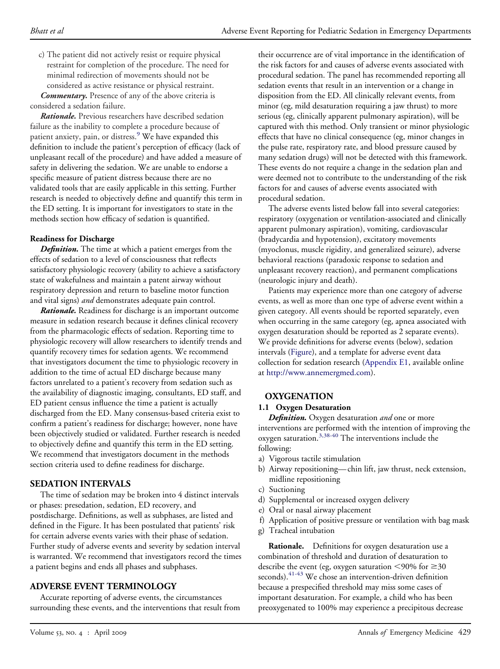c) The patient did not actively resist or require physical restraint for completion of the procedure. The need for minimal redirection of movements should not be considered as active resistance or physical restraint.

*Commentary.* Presence of any of the above criteria is considered a sedation failure.

*Rationale.* Previous researchers have described sedation failure as the inability to complete a procedure because of patient anxiety, pain, or distress.<sup>[9](#page-8-0)</sup> We have expanded this definition to include the patient's perception of efficacy (lack of unpleasant recall of the procedure) and have added a measure of safety in delivering the sedation. We are unable to endorse a specific measure of patient distress because there are no validated tools that are easily applicable in this setting. Further research is needed to objectively define and quantify this term in the ED setting. It is important for investigators to state in the methods section how efficacy of sedation is quantified.

#### **Readiness for Discharge**

*Definition.* The time at which a patient emerges from the effects of sedation to a level of consciousness that reflects satisfactory physiologic recovery (ability to achieve a satisfactory state of wakefulness and maintain a patent airway without respiratory depression and return to baseline motor function and vital signs) *and* demonstrates adequate pain control.

*Rationale.* Readiness for discharge is an important outcome measure in sedation research because it defines clinical recovery from the pharmacologic effects of sedation. Reporting time to physiologic recovery will allow researchers to identify trends and quantify recovery times for sedation agents. We recommend that investigators document the time to physiologic recovery in addition to the time of actual ED discharge because many factors unrelated to a patient's recovery from sedation such as the availability of diagnostic imaging, consultants, ED staff, and ED patient census influence the time a patient is actually discharged from the ED. Many consensus-based criteria exist to confirm a patient's readiness for discharge; however, none have been objectively studied or validated. Further research is needed to objectively define and quantify this term in the ED setting. We recommend that investigators document in the methods section criteria used to define readiness for discharge.

## **SEDATION INTERVALS**

The time of sedation may be broken into 4 distinct intervals or phases: presedation, sedation, ED recovery, and postdischarge. Definitions, as well as subphases, are listed and defined in the Figure. It has been postulated that patients' risk for certain adverse events varies with their phase of sedation. Further study of adverse events and severity by sedation interval is warranted. We recommend that investigators record the times a patient begins and ends all phases and subphases.

# **ADVERSE EVENT TERMINOLOGY**

Accurate reporting of adverse events, the circumstances surrounding these events, and the interventions that result from their occurrence are of vital importance in the identification of the risk factors for and causes of adverse events associated with procedural sedation. The panel has recommended reporting all sedation events that result in an intervention or a change in disposition from the ED. All clinically relevant events, from minor (eg, mild desaturation requiring a jaw thrust) to more serious (eg, clinically apparent pulmonary aspiration), will be captured with this method. Only transient or minor physiologic effects that have no clinical consequence (eg, minor changes in the pulse rate, respiratory rate, and blood pressure caused by many sedation drugs) will not be detected with this framework. These events do not require a change in the sedation plan and were deemed not to contribute to the understanding of the risk factors for and causes of adverse events associated with procedural sedation.

The adverse events listed below fall into several categories: respiratory (oxygenation or ventilation-associated and clinically apparent pulmonary aspiration), vomiting, cardiovascular (bradycardia and hypotension), excitatory movements (myoclonus, muscle rigidity, and generalized seizure), adverse behavioral reactions (paradoxic response to sedation and unpleasant recovery reaction), and permanent complications (neurologic injury and death).

Patients may experience more than one category of adverse events, as well as more than one type of adverse event within a given category. All events should be reported separately, even when occurring in the same category (eg, apnea associated with oxygen desaturation should be reported as 2 separate events). We provide definitions for adverse events (below), sedation intervals [\(Figure\)](#page-4-0), and a template for adverse event data collection for sedation research (Appendix E1, available online at [http://www.annemergmed.com\)](http://www.annemergmed.com).

## **OXYGENATION**

## **1.1 Oxygen Desaturation**

*Definition.* Oxygen desaturation *and* one or more interventions are performed with the intention of improving the oxygen saturation.<sup>[3,38-40](#page-8-0)</sup> The interventions include the following:

- a) Vigorous tactile stimulation
- b) Airway repositioning— chin lift, jaw thrust, neck extension, midline repositioning
- c) Suctioning
- d) Supplemental or increased oxygen delivery
- e) Oral or nasal airway placement
- f) Application of positive pressure or ventilation with bag mask
- g) Tracheal intubation

**Rationale.** Definitions for oxygen desaturation use a combination of threshold and duration of desaturation to describe the event (eg, oxygen saturation  $<$  90% for  $\geq$  30 seconds).<sup>[41-43](#page-9-0)</sup> We chose an intervention-driven definition because a prespecified threshold may miss some cases of important desaturation. For example, a child who has been preoxygenated to 100% may experience a precipitous decrease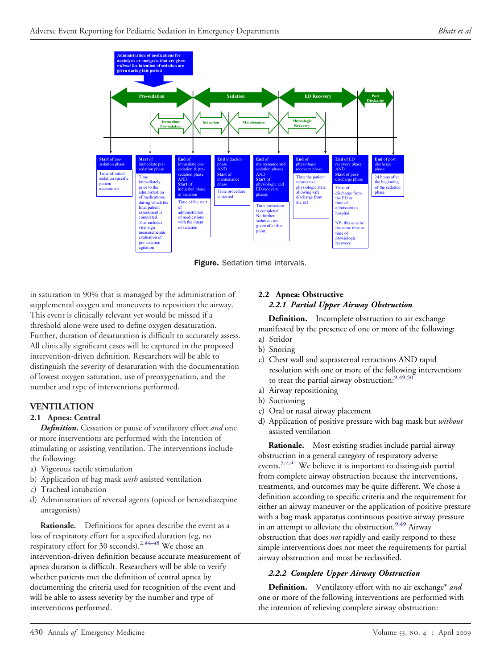<span id="page-4-0"></span>

**Figure.** Sedation time intervals.

in saturation to 90% that is managed by the administration of supplemental oxygen and maneuvers to reposition the airway. This event is clinically relevant yet would be missed if a threshold alone were used to define oxygen desaturation. Further, duration of desaturation is difficult to accurately assess. All clinically significant cases will be captured in the proposed intervention-driven definition. Researchers will be able to distinguish the severity of desaturation with the documentation of lowest oxygen saturation, use of preoxygenation, and the number and type of interventions performed.

# **VENTILATION**

## **2.1 Apnea: Central**

*Definition.* Cessation or pause of ventilatory effort *and* one or more interventions are performed with the intention of stimulating or assisting ventilation. The interventions include the following:

- a) Vigorous tactile stimulation
- b) Application of bag mask *with* assisted ventilation
- c) Tracheal intubation
- d) Administration of reversal agents (opioid or benzodiazepine antagonists)

**Rationale.** Definitions for apnea describe the event as a loss of respiratory effort for a specified duration (eg, no respiratory effort for 30 seconds).<sup>[2,44-48](#page-7-0)</sup> We chose an intervention-driven definition because accurate measurement of apnea duration is difficult. Researchers will be able to verify whether patients met the definition of central apnea by documenting the criteria used for recognition of the event and will be able to assess severity by the number and type of interventions performed.

#### **2.2 Apnea: Obstructive** *2.2.1 Partial Upper Airway Obstruction*

**Definition.** Incomplete obstruction to air exchange manifested by the presence of one or more of the following:

- a) Stridor
- b) Snoring
- c) Chest wall and suprasternal retractions AND rapid resolution with one or more of the following interventions to treat the partial airway obstruction:<sup>[9,49,50](#page-8-0)</sup>
- a) Airway repositioning
- b) Suctioning
- c) Oral or nasal airway placement
- d) Application of positive pressure with bag mask but *without* assisted ventilation

**Rationale.** Most existing studies include partial airway obstruction in a general category of respiratory adverse events.[5,7,41](#page-8-0) We believe it is important to distinguish partial from complete airway obstruction because the interventions, treatments, and outcomes may be quite different. We chose a definition according to specific criteria and the requirement for either an airway maneuver or the application of positive pressure with a bag mask apparatus continuous positive airway pressure in an attempt to alleviate the obstruction.<sup>9,49</sup> Airway obstruction that does *not* rapidly and easily respond to these simple interventions does not meet the requirements for partial airway obstruction and must be reclassified.

## *2.2.2 Complete Upper Airway Obstruction*

**Definition.** Ventilatory effort with no air exchange\* *and* one or more of the following interventions are performed with the intention of relieving complete airway obstruction: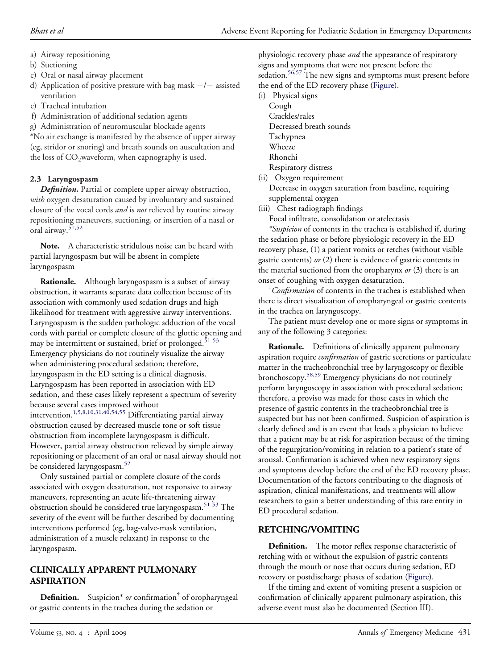- a) Airway repositioning
- b) Suctioning
- c) Oral or nasal airway placement
- d) Application of positive pressure with bag mask  $+/-$  assisted ventilation
- e) Tracheal intubation
- f) Administration of additional sedation agents

g) Administration of neuromuscular blockade agents \*No air exchange is manifested by the absence of upper airway (eg, stridor or snoring) and breath sounds on auscultation and the loss of  $CO_2$ waveform, when capnography is used.

# **2.3 Laryngospasm**

*Definition.* Partial or complete upper airway obstruction, *with* oxygen desaturation caused by involuntary and sustained closure of the vocal cords *and* is *not* relieved by routine airway repositioning maneuvers, suctioning, or insertion of a nasal or oral airway.<sup>[51,52](#page-9-0)</sup>

**Note.** A characteristic stridulous noise can be heard with partial laryngospasm but will be absent in complete laryngospasm

**Rationale.** Although laryngospasm is a subset of airway obstruction, it warrants separate data collection because of its association with commonly used sedation drugs and high likelihood for treatment with aggressive airway interventions. Laryngospasm is the sudden pathologic adduction of the vocal cords with partial or complete closure of the glottic opening and may be intermittent or sustained, brief or prolonged.<sup>[51-53](#page-9-0)</sup> Emergency physicians do not routinely visualize the airway when administering procedural sedation; therefore, laryngospasm in the ED setting is a clinical diagnosis. Laryngospasm has been reported in association with ED sedation, and these cases likely represent a spectrum of severity because several cases improved without intervention.[1,5,8,10,31,40,54,55](#page-7-0) Differentiating partial airway obstruction caused by decreased muscle tone or soft tissue obstruction from incomplete laryngospasm is difficult. However, partial airway obstruction relieved by simple airway repositioning or placement of an oral or nasal airway should not be considered laryngospasm.<sup>[52](#page-9-0)</sup>

Only sustained partial or complete closure of the cords associated with oxygen desaturation, not responsive to airway maneuvers, representing an acute life-threatening airway obstruction should be considered true laryngospasm.[51-53](#page-9-0) The severity of the event will be further described by documenting interventions performed (eg, bag-valve-mask ventilation, administration of a muscle relaxant) in response to the laryngospasm.

# **CLINICALLY APPARENT PULMONARY ASPIRATION**

**Definition.** Suspicion\* *or* confirmation† of oropharyngeal or gastric contents in the trachea during the sedation or

physiologic recovery phase *and* the appearance of respiratory signs and symptoms that were not present before the sedation.<sup>[56,57](#page-9-0)</sup> The new signs and symptoms must present before the end of the ED recovery phase [\(Figure\)](#page-4-0).

(i) Physical signs Cough Crackles/rales Decreased breath sounds Tachypnea Wheeze Rhonchi Respiratory distress (ii) Oxygen requirement

Decrease in oxygen saturation from baseline, requiring supplemental oxygen

(iii) Chest radiograph findings

Focal infiltrate, consolidation or atelectasis

*\*Suspicion* of contents in the trachea is established if, during the sedation phase or before physiologic recovery in the ED recovery phase, (1) a patient vomits or retches (without visible gastric contents) *or* (2) there is evidence of gastric contents in the material suctioned from the oropharynx *or* (3) there is an onset of coughing with oxygen desaturation.

† *Confirmation* of contents in the trachea is established when there is direct visualization of oropharyngeal or gastric contents in the trachea on laryngoscopy.

The patient must develop one or more signs or symptoms in any of the following 3 categories:

**Rationale.** Definitions of clinically apparent pulmonary aspiration require *confirmation* of gastric secretions or particulate matter in the tracheobronchial tree by laryngoscopy or flexible bronchoscopy.[58,59](#page-9-0) Emergency physicians do not routinely perform laryngoscopy in association with procedural sedation; therefore, a proviso was made for those cases in which the presence of gastric contents in the tracheobronchial tree is suspected but has not been confirmed. Suspicion of aspiration is clearly defined and is an event that leads a physician to believe that a patient may be at risk for aspiration because of the timing of the regurgitation/vomiting in relation to a patient's state of arousal. Confirmation is achieved when new respiratory signs and symptoms develop before the end of the ED recovery phase. Documentation of the factors contributing to the diagnosis of aspiration, clinical manifestations, and treatments will allow researchers to gain a better understanding of this rare entity in ED procedural sedation.

# **RETCHING/VOMITING**

**Definition.** The motor reflex response characteristic of retching with or without the expulsion of gastric contents through the mouth or nose that occurs during sedation, ED recovery or postdischarge phases of sedation [\(Figure\)](#page-4-0).

If the timing and extent of vomiting present a suspicion or confirmation of clinically apparent pulmonary aspiration, this adverse event must also be documented (Section III).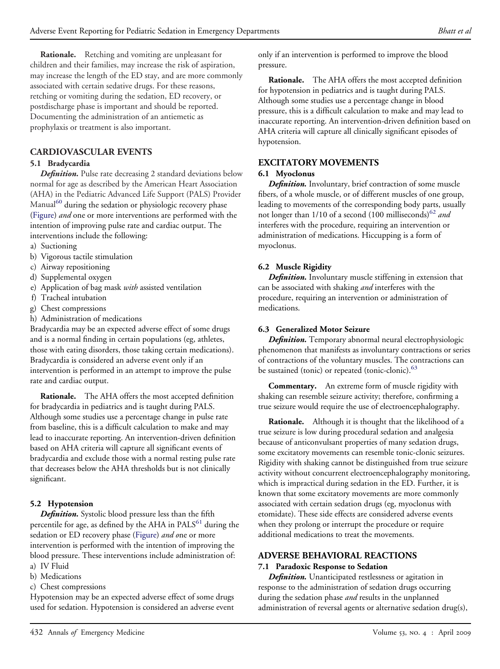**Rationale.** Retching and vomiting are unpleasant for children and their families, may increase the risk of aspiration, may increase the length of the ED stay, and are more commonly associated with certain sedative drugs. For these reasons, retching or vomiting during the sedation, ED recovery, or postdischarge phase is important and should be reported. Documenting the administration of an antiemetic as prophylaxis or treatment is also important.

## **CARDIOVASCULAR EVENTS**

#### **5.1 Bradycardia**

*Definition.* Pulse rate decreasing 2 standard deviations below normal for age as described by the American Heart Association (AHA) in the Pediatric Advanced Life Support (PALS) Provider Manual<sup>[60](#page-9-0)</sup> during the sedation or physiologic recovery phase [\(Figure\)](#page-4-0) *and* one or more interventions are performed with the intention of improving pulse rate and cardiac output. The interventions include the following:

- a) Suctioning
- b) Vigorous tactile stimulation
- c) Airway repositioning
- d) Supplemental oxygen
- e) Application of bag mask *with* assisted ventilation
- f) Tracheal intubation
- g) Chest compressions
- h) Administration of medications

Bradycardia may be an expected adverse effect of some drugs and is a normal finding in certain populations (eg, athletes, those with eating disorders, those taking certain medications). Bradycardia is considered an adverse event only if an intervention is performed in an attempt to improve the pulse rate and cardiac output.

**Rationale.** The AHA offers the most accepted definition for bradycardia in pediatrics and is taught during PALS. Although some studies use a percentage change in pulse rate from baseline, this is a difficult calculation to make and may lead to inaccurate reporting. An intervention-driven definition based on AHA criteria will capture all significant events of bradycardia and exclude those with a normal resting pulse rate that decreases below the AHA thresholds but is not clinically significant.

## **5.2 Hypotension**

*Definition.* Systolic blood pressure less than the fifth percentile for age, as defined by the AHA in  $PALS<sup>61</sup>$  $PALS<sup>61</sup>$  $PALS<sup>61</sup>$  during the sedation or ED recovery phase [\(Figure\)](#page-4-0) *and o*ne or more intervention is performed with the intention of improving the blood pressure. These interventions include administration of: a) IV Fluid

- b) Medications
- c) Chest compressions

Hypotension may be an expected adverse effect of some drugs used for sedation. Hypotension is considered an adverse event only if an intervention is performed to improve the blood pressure.

**Rationale.** The AHA offers the most accepted definition for hypotension in pediatrics and is taught during PALS. Although some studies use a percentage change in blood pressure, this is a difficult calculation to make and may lead to inaccurate reporting. An intervention-driven definition based on AHA criteria will capture all clinically significant episodes of hypotension.

# **EXCITATORY MOVEMENTS**

#### **6.1 Myoclonus**

*Definition.* Involuntary, brief contraction of some muscle fibers, of a whole muscle, or of different muscles of one group, leading to movements of the corresponding body parts, usually not longer than 1/10 of a second (100 milliseconds)<sup>[62](#page-9-0)</sup> and interferes with the procedure, requiring an intervention or administration of medications. Hiccupping is a form of myoclonus.

## **6.2 Muscle Rigidity**

*Definition.* Involuntary muscle stiffening in extension that can be associated with shaking *and* interferes with the procedure, requiring an intervention or administration of medications.

## **6.3 Generalized Motor Seizure**

*Definition.* Temporary abnormal neural electrophysiologic phenomenon that manifests as involuntary contractions or series of contractions of the voluntary muscles. The contractions can be sustained (tonic) or repeated (tonic-clonic).<sup>[63](#page-9-0)</sup>

**Commentary.** An extreme form of muscle rigidity with shaking can resemble seizure activity; therefore, confirming a true seizure would require the use of electroencephalography.

**Rationale.** Although it is thought that the likelihood of a true seizure is low during procedural sedation and analgesia because of anticonvulsant properties of many sedation drugs, some excitatory movements can resemble tonic-clonic seizures. Rigidity with shaking cannot be distinguished from true seizure activity without concurrent electroencephalography monitoring, which is impractical during sedation in the ED. Further, it is known that some excitatory movements are more commonly associated with certain sedation drugs (eg, myoclonus with etomidate). These side effects are considered adverse events when they prolong or interrupt the procedure or require additional medications to treat the movements.

## **ADVERSE BEHAVIORAL REACTIONS**

## **7.1 Paradoxic Response to Sedation**

*Definition.* Unanticipated restlessness or agitation in response to the administration of sedation drugs occurring during the sedation phase *and* results in the unplanned administration of reversal agents or alternative sedation drug(s),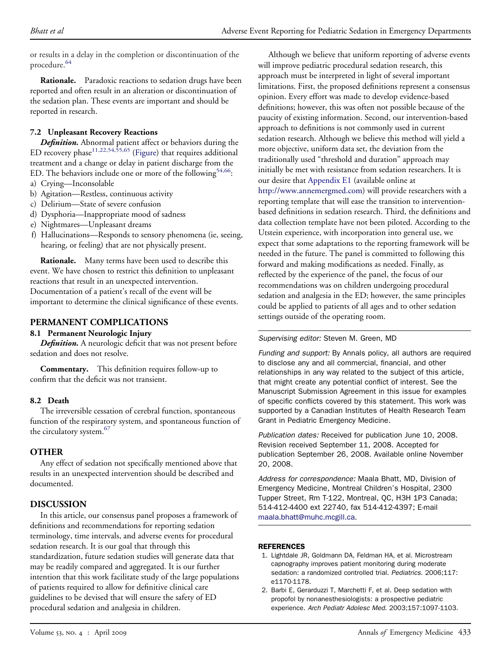<span id="page-7-0"></span>or results in a delay in the completion or discontinuation of the procedure.[64](#page-9-0)

**Rationale.** Paradoxic reactions to sedation drugs have been reported and often result in an alteration or discontinuation of the sedation plan. These events are important and should be reported in research.

#### **7.2 Unpleasant Recovery Reactions**

*Definition.* Abnormal patient affect or behaviors during the ED recovery phase<sup>[11,22,54,55,65](#page-8-0)</sup> [\(Figure\)](#page-4-0) that requires additional treatment and a change or delay in patient discharge from the ED. The behaviors include one or more of the following<sup>54,66</sup>:

- a) Crying—Inconsolable
- b) Agitation—Restless, continuous activity
- c) Delirium—State of severe confusion
- d) Dysphoria—Inappropriate mood of sadness
- e) Nightmares—Unpleasant dreams
- f) Hallucinations—Responds to sensory phenomena (ie, seeing, hearing, or feeling) that are not physically present.

**Rationale.** Many terms have been used to describe this event. We have chosen to restrict this definition to unpleasant reactions that result in an unexpected intervention. Documentation of a patient's recall of the event will be important to determine the clinical significance of these events.

## **PERMANENT COMPLICATIONS**

#### **8.1 Permanent Neurologic Injury**

*Definition.* A neurologic deficit that was not present before sedation and does not resolve.

**Commentary.** This definition requires follow-up to confirm that the deficit was not transient.

#### **8.2 Death**

The irreversible cessation of cerebral function, spontaneous function of the respiratory system, and spontaneous function of the circulatory system.<sup>[67](#page-9-0)</sup>

#### **OTHER**

Any effect of sedation not specifically mentioned above that results in an unexpected intervention should be described and documented.

## **DISCUSSION**

In this article, our consensus panel proposes a framework of definitions and recommendations for reporting sedation terminology, time intervals, and adverse events for procedural sedation research. It is our goal that through this standardization, future sedation studies will generate data that may be readily compared and aggregated. It is our further intention that this work facilitate study of the large populations of patients required to allow for definitive clinical care guidelines to be devised that will ensure the safety of ED procedural sedation and analgesia in children.

Although we believe that uniform reporting of adverse events will improve pediatric procedural sedation research, this approach must be interpreted in light of several important limitations. First, the proposed definitions represent a consensus opinion. Every effort was made to develop evidence-based definitions; however, this was often not possible because of the paucity of existing information. Second, our intervention-based approach to definitions is not commonly used in current sedation research. Although we believe this method will yield a more objective, uniform data set, the deviation from the traditionally used "threshold and duration" approach may initially be met with resistance from sedation researchers. It is our desire that Appendix E1 (available online at [http://www.annemergmed.com\)](http://www.annemergmed.com) will provide researchers with a reporting template that will ease the transition to interventionbased definitions in sedation research. Third, the definitions and data collection template have not been piloted. According to the Utstein experience, with incorporation into general use, we expect that some adaptations to the reporting framework will be needed in the future. The panel is committed to following this forward and making modifications as needed. Finally, as reflected by the experience of the panel, the focus of our recommendations was on children undergoing procedural sedation and analgesia in the ED; however, the same principles could be applied to patients of all ages and to other sedation settings outside of the operating room.

#### *Supervising editor:* Steven M. Green, MD

*Funding and support:* By Annals policy, all authors are required to disclose any and all commercial, financial, and other relationships in any way related to the subject of this article, that might create any potential conflict of interest. See the Manuscript Submission Agreement in this issue for examples of specific conflicts covered by this statement. This work was supported by a Canadian Institutes of Health Research Team Grant in Pediatric Emergency Medicine.

*Publication dates:* Received for publication June 10, 2008. Revision received September 11, 2008. Accepted for publication September 26, 2008. Available online November 20, 2008.

*Address for correspondence:* Maala Bhatt, MD, Division of Emergency Medicine, Montreal Children's Hospital, 2300 Tupper Street, Rm T-122, Montreal, QC, H3H 1P3 Canada; 514-412-4400 ext 22740, fax 514-412-4397; E-mail [maala.bhatt@muhc.mcgill.ca.](mailto:maala.bhatt@muhc.mcgill.ca)

#### REFERENCES

- 1. Lightdale JR, Goldmann DA, Feldman HA, et al. Microstream capnography improves patient monitoring during moderate sedation: a randomized controlled trial. *Pediatrics*. 2006;117: e1170-1178.
- 2. Barbi E, Gerarduzzi T, Marchetti F, et al. Deep sedation with propofol by nonanesthesiologists: a prospective pediatric experience. *Arch Pediatr Adolesc Med*. 2003;157:1097-1103.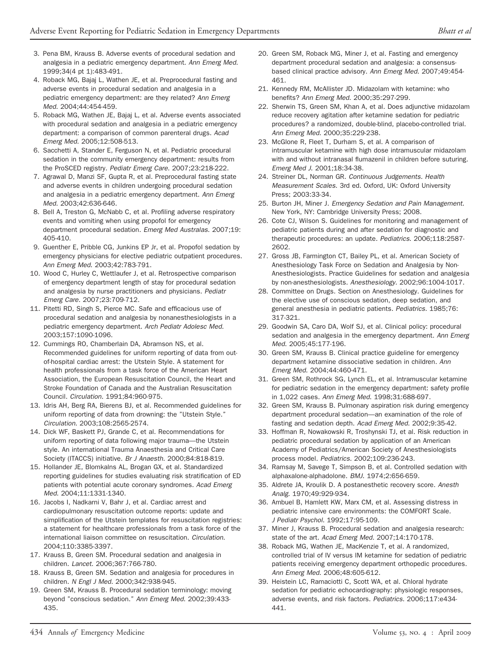- <span id="page-8-0"></span>3. Pena BM, Krauss B. Adverse events of procedural sedation and analgesia in a pediatric emergency department. *Ann Emerg Med*. 1999;34(4 pt 1):483-491.
- 4. Roback MG, Bajaj L, Wathen JE, et al. Preprocedural fasting and adverse events in procedural sedation and analgesia in a pediatric emergency department: are they related? *Ann Emerg Med*. 2004;44:454-459.
- 5. Roback MG, Wathen JE, Bajaj L, et al. Adverse events associated with procedural sedation and analgesia in a pediatric emergency department: a comparison of common parenteral drugs. *Acad Emerg Med*. 2005;12:508-513.
- 6. Sacchetti A, Stander E, Ferguson N, et al. Pediatric procedural sedation in the community emergency department: results from the ProSCED registry. *Pediatr Emerg Care*. 2007;23:218-222.
- 7. Agrawal D, Manzi SF, Gupta R, et al. Preprocedural fasting state and adverse events in children undergoing procedural sedation and analgesia in a pediatric emergency department. *Ann Emerg Med*. 2003;42:636-646.
- 8. Bell A, Treston G, McNabb C, et al. Profiling adverse respiratory events and vomiting when using propofol for emergency department procedural sedation. *Emerg Med Australas*. 2007;19: 405-410.
- 9. Guenther E, Pribble CG, Junkins EP Jr, et al. Propofol sedation by emergency physicians for elective pediatric outpatient procedures. *Ann Emerg Med*. 2003;42:783-791.
- 10. Wood C, Hurley C, Wettlaufer J, et al. Retrospective comparison of emergency department length of stay for procedural sedation and analgesia by nurse practitioners and physicians. *Pediatr Emerg Care*. 2007;23:709-712.
- 11. Pitetti RD, Singh S, Pierce MC. Safe and efficacious use of procedural sedation and analgesia by nonanesthesiologists in a pediatric emergency department. *Arch Pediatr Adolesc Med*. 2003;157:1090-1096.
- 12. Cummings RO, Chamberlain DA, Abramson NS, et al. Recommended guidelines for uniform reporting of data from outof-hospital cardiac arrest: the Utstein Style. A statement for health professionals from a task force of the American Heart Association, the European Resuscitation Council, the Heart and Stroke Foundation of Canada and the Australian Resuscitation Council. *Circulation*. 1991;84:960-975.
- 13. Idris AH, Berg RA, Bierens BJ, et al. Recommended guidelines for uniform reporting of data from drowning: the "Utstein Style." *Circulation*. 2003;108:2565-2574.
- 14. Dick WF, Baskett PJ, Grande C, et al. Recommendations for uniform reporting of data following major trauma—the Utstein style. An international Trauma Anaesthesia and Critical Care Society (ITACCS) initiative. *Br J Anaesth*. 2000;84:818-819.
- 15. Hollander JE, Blomkalns AL, Brogan GX, et al. Standardized reporting guidelines for studies evaluating risk stratification of ED patients with potential acute coronary syndromes. *Acad Emerg Med*. 2004;11:1331-1340.
- 16. Jacobs I, Nadkarni V, Bahr J, et al. Cardiac arrest and cardiopulmonary resuscitation outcome reports: update and simplification of the Utstein templates for resuscitation registries: a statement for healthcare professionals from a task force of the international liaison committee on resuscitation. *Circulation*. 2004;110:3385-3397.
- 17. Krauss B, Green SM. Procedural sedation and analgesia in children. *Lancet*. 2006;367:766-780.
- 18. Krauss B, Green SM. Sedation and analgesia for procedures in children. *N Engl J Med*. 2000;342:938-945.
- 19. Green SM, Krauss B. Procedural sedation terminology: moving beyond "conscious sedation." *Ann Emerg Med*. 2002;39:433- 435.
- 20. Green SM, Roback MG, Miner J, et al. Fasting and emergency department procedural sedation and analgesia: a consensusbased clinical practice advisory. *Ann Emerg Med*. 2007;49:454- 461.
- 21. Kennedy RM, McAllister JD. Midazolam with ketamine: who benefits? *Ann Emerg Med*. 2000;35:297-299.
- 22. Sherwin TS, Green SM, Khan A, et al. Does adjunctive midazolam reduce recovery agitation after ketamine sedation for pediatric procedures? a randomized, double-blind, placebo-controlled trial. *Ann Emerg Med*. 2000;35:229-238.
- 23. McGlone R, Fleet T, Durham S, et al. A comparison of intramuscular ketamine with high dose intramuscular midazolam with and without intranasal flumazenil in children before suturing. *Emerg Med J*. 2001;18:34-38.
- 24. Streiner DL, Norman GR. *Continuous Judgements. Health Measurement Scales*. 3rd ed. Oxford, UK: Oxford University Press; 2003:33-34.
- 25. Burton JH, Miner J. *Emergency Sedation and Pain Management*. New York, NY: Cambridge University Press; 2008.
- 26. Cote CJ, Wilson S. Guidelines for monitoring and management of pediatric patients during and after sedation for diagnostic and therapeutic procedures: an update. *Pediatrics*. 2006;118:2587- 2602.
- 27. Gross JB, Farmington CT, Bailey PL, et al. American Society of Anesthesiology Task Force on Sedation and Analgesia by Non-Anesthesiologists. Practice Guidelines for sedation and analgesia by non-anesthesiologists. *Anesthesiology.* 2002;96:1004-1017.
- 28. Committee on Drugs. Section on Anesthesiology. Guidelines for the elective use of conscious sedation, deep sedation, and general anesthesia in pediatric patients. *Pediatrics.* 1985;76: 317-321.
- 29. Goodwin SA, Caro DA, Wolf SJ, et al. Clinical policy: procedural sedation and analgesia in the emergency department. *Ann Emerg Med*. 2005;45:177-196.
- 30. Green SM, Krauss B. Clinical practice guideline for emergency department ketamine dissociative sedation in children. *Ann Emerg Med*. 2004;44:460-471.
- 31. Green SM, Rothrock SG, Lynch EL, et al. Intramuscular ketamine for pediatric sedation in the emergency department: safety profile in 1,022 cases. *Ann Emerg Med*. 1998;31:688-697.
- 32. Green SM, Krauss B. Pulmonary aspiration risk during emergency department procedural sedation—an examination of the role of fasting and sedation depth. *Acad Emerg Med*. 2002;9:35-42.
- 33. Hoffman R, Nowakowski R, Troshynski TJ, et al. Risk reduction in pediatric procedural sedation by application of an American Academy of Pediatrics/American Society of Anesthesiologists process model. *Pediatrics*. 2002;109:236-243.
- 34. Ramsay M, Savege T, Simpson B, et al. Controlled sedation with alphaxalone-alphadolone. *BMJ*. 1974;2:656-659.
- 35. Aldrete JA, Kroulik D. A postanesthetic recovery score. *Anesth Analg*. 1970;49:929-934.
- 36. Ambuel B, Hamlett KW, Marx CM, et al. Assessing distress in pediatric intensive care environments: the COMFORT Scale. *J Pediatr Psychol*. 1992;17:95-109.
- 37. Miner J, Krauss B. Procedural sedation and analgesia research: state of the art. *Acad Emerg Med*. 2007;14:170-178.
- 38. Roback MG, Wathen JE, MacKenzie T, et al. A randomized, controlled trial of IV versus IM ketamine for sedation of pediatric patients receiving emergency department orthopedic procedures. *Ann Emerg Med*. 2006;48:605-612.
- 39. Heistein LC, Ramaciotti C, Scott WA, et al. Chloral hydrate sedation for pediatric echocardiography: physiologic responses, adverse events, and risk factors. *Pediatrics*. 2006;117:e434- 441.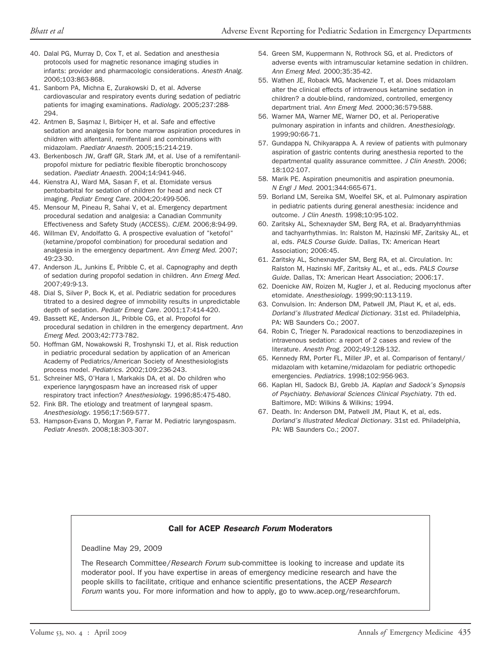- <span id="page-9-0"></span>40. Dalal PG, Murray D, Cox T, et al. Sedation and anesthesia protocols used for magnetic resonance imaging studies in infants: provider and pharmacologic considerations. *Anesth Analg*. 2006;103:863-868.
- 41. Sanborn PA, Michna E, Zurakowski D, et al. Adverse cardiovascular and respiratory events during sedation of pediatric patients for imaging examinations. *Radiology*. 2005;237:288- 294.
- 42. Antmen B, Saşmaz I, Birbiçer H, et al. Safe and effective sedation and analgesia for bone marrow aspiration procedures in children with alfentanil, remifentanil and combinations with midazolam. *Paediatr Anaesth*. 2005;15:214-219.
- 43. Berkenbosch JW, Graff GR, Stark JM, et al. Use of a remifentanilpropofol mixture for pediatric flexible fiberoptic bronchoscopy sedation. *Paediatr Anaesth*. 2004;14:941-946.
- 44. Kienstra AJ, Ward MA, Sasan F, et al. Etomidate versus pentobarbital for sedation of children for head and neck CT imaging. *Pediatr Emerg Care*. 2004;20:499-506.
- 45. Mensour M, Pineau R, Sahai V, et al. Emergency department procedural sedation and analgesia: a Canadian Community Effectiveness and Safety Study (ACCESS). *CJEM*. 2006;8:94-99.
- 46. Willman EV, Andolfatto G. A prospective evaluation of "ketofol" (ketamine/propofol combination) for procedural sedation and analgesia in the emergency department. *Ann Emerg Med*. 2007; 49:23-30.
- 47. Anderson JL, Junkins E, Pribble C, et al. Capnography and depth of sedation during propofol sedation in children. *Ann Emerg Med*. 2007;49:9-13.
- 48. Dial S, Silver P, Bock K, et al. Pediatric sedation for procedures titrated to a desired degree of immobility results in unpredictable depth of sedation. *Pediatr Emerg Care*. 2001;17:414-420.
- 49. Bassett KE, Anderson JL, Pribble CG, et al. Propofol for procedural sedation in children in the emergency department. *Ann Emerg Med*. 2003;42:773-782.
- 50. Hoffman GM, Nowakowski R, Troshynski TJ, et al. Risk reduction in pediatric procedural sedation by application of an American Academy of Pediatrics/American Society of Anesthesiologists process model. *Pediatrics*. 2002;109:236-243.
- 51. Schreiner MS, O'Hara I, Markakis DA, et al. Do children who experience laryngospasm have an increased risk of upper respiratory tract infection? *Anesthesiology*. 1996;85:475-480.
- 52. Fink BR. The etiology and treatment of laryngeal spasm. *Anesthesiology*. 1956;17:569-577.
- 53. Hampson-Evans D, Morgan P, Farrar M. Pediatric laryngospasm. *Pediatr Anesth*. 2008;18:303-307.
- 54. Green SM, Kuppermann N, Rothrock SG, et al. Predictors of adverse events with intramuscular ketamine sedation in children. *Ann Emerg Med*. 2000;35:35-42.
- 55. Wathen JE, Roback MG, Mackenzie T, et al. Does midazolam alter the clinical effects of intravenous ketamine sedation in children? a double-blind, randomized, controlled, emergency department trial. *Ann Emerg Med*. 2000;36:579-588.
- 56. Warner MA, Warner ME, Warner DO, et al. Perioperative pulmonary aspiration in infants and children. *Anesthesiology*. 1999;90:66-71.
- 57. Gundappa N, Chikyarappa A. A review of patients with pulmonary aspiration of gastric contents during anesthesia reported to the departmental quality assurance committee. *J Clin Anesth*. 2006; 18:102-107.
- 58. Marik PE. Aspiration pneumonitis and aspiration pneumonia. *N Engl J Med*. 2001;344:665-671.
- 59. Borland LM, Sereika SM, Woelfel SK, et al. Pulmonary aspiration in pediatric patients during general anesthesia: incidence and outcome. *J Clin Anesth*. 1998;10:95-102.
- 60. Zaritsky AL, Schexnayder SM, Berg RA, et al. Bradyarryhthmias and tachyarrhythmias. In: Ralston M, Hazinski MF, Zaritsky AL, et al, eds. *PALS Course Guide*. Dallas, TX: American Heart Association; 2006:45.
- 61. Zaritsky AL, Schexnayder SM, Berg RA, et al. Circulation. In: Ralston M, Hazinski MF, Zaritsky AL, et al., eds. *PALS Course Guide*. Dallas, TX: American Heart Association; 2006:17.
- 62. Doenicke AW, Roizen M, Kugler J, et al. Reducing myoclonus after etomidate. *Anesthesiology*. 1999;90:113-119.
- 63. Convulsion. In: Anderson DM, Patwell JM, Plaut K, et al, eds. *Dorland's Illustrated Medical Dictionary.* 31st ed. Philadelphia, PA: WB Saunders Co.; 2007.
- 64. Robin C, Trieger N. Paradoxical reactions to benzodiazepines in intravenous sedation: a report of 2 cases and review of the literature. *Anesth Prog*. 2002;49:128-132.
- 65. Kennedy RM, Porter FL, Miller JP, et al. Comparison of fentanyl/ midazolam with ketamine/midazolam for pediatric orthopedic emergencies. *Pediatrics*. 1998;102:956-963.
- 66. Kaplan HI, Sadock BJ, Grebb JA. *Kaplan and Sadock's Synopsis of Psychiatry. Behavioral Sciences Clinical Psychiatry*. 7th ed. Baltimore, MD: Wilkins & Wilkins; 1994.
- 67. Death. In: Anderson DM, Patwell JM, Plaut K, et al, eds. *Dorland's Illustrated Medical Dictionary.* 31st ed. Philadelphia, PA: WB Saunders Co.; 2007.

## Call for ACEP *Research Forum* Moderators

Deadline May 29, 2009

The Research Committee/*Research Forum* sub-committee is looking to increase and update its moderator pool. If you have expertise in areas of emergency medicine research and have the people skills to facilitate, critique and enhance scientific presentations, the ACEP *Research Forum* wants you. For more information and how to apply, go to www.acep.org/researchforum.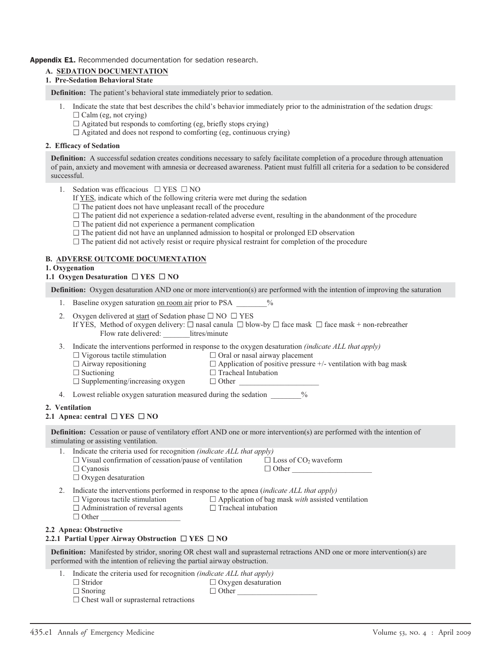#### Appendix E1. Recommended documentation for sedation research.

#### **A. SEDATION DOCUMENTATION**

#### **1. Pre-Sedation Behavioral State**

**Definition:** The patient's behavioral state immediately prior to sedation.

- 1. Indicate the state that best describes the child's behavior immediately prior to the administration of the sedation drugs:
	- $\Box$  Calm (eg, not crying)
	- $\Box$  Agitated but responds to comforting (eg, briefly stops crying)
	- $\Box$  Agitated and does not respond to comforting (eg, continuous crying)

#### **2. Efficacy of Sedation**

**Definition:** A successful sedation creates conditions necessary to safely facilitate completion of a procedure through attenuation of pain, anxiety and movement with amnesia or decreased awareness. Patient must fulfill all criteria for a sedation to be considered successful.

- 1. Sedation was efficacious  $\Box$  YES  $\Box$  NO
	- If YES, indicate which of the following criteria were met during the sedation
	- $\square$  The patient does not have unpleasant recall of the procedure
	- $\Box$  The patient did not experience a sedation-related adverse event, resulting in the abandonment of the procedure
	- $\Box$  The patient did not experience a permanent complication
	- $\Box$  The patient did not have an unplanned admission to hospital or prolonged ED observation
	- $\Box$  The patient did not actively resist or require physical restraint for completion of the procedure

#### **B. ADVERSE OUTCOME DOCUMENTATION**

#### **1. Oxygenation**

#### **1.1 Oxygen Desaturation □ YES □ NO**

**Definition:** Oxygen desaturation AND one or more intervention(s) are performed with the intention of improving the saturation

- 1. Baseline oxygen saturation on room air prior to PSA  $\%$
- 2. Oxygen delivered at start of Sedation phase  $\square$  NO  $\square$  YES If YES, Method of oxygen delivery:  $\Box$  nasal canula  $\Box$  blow-by  $\Box$  face mask  $\Box$  face mask + non-rebreather Flow rate delivered: litres/minute

3. Indicate the interventions performed in response to the oxygen desaturation *(indicate ALL that apply)*  $\Box$  Vigorous tactile stimulation  $\Box$  Oral or nasal airway placement

- $\Box$  Vigorous tactile stimulation  $\Box$  Oral or nasal airway placement  $\Box$  Airway repositioning  $\Box$  Application of positive pressure
- -
	- $\Box$  Airway repositioning  $\Box$  Application of positive pressure +/- ventilation with bag mask  $\Box$  Suctioning  $\Box$  Tracheal Intubation  $\Box$  Tracheal Intubation<br> $\Box$  Other
- $\Box$  Supplementing/increasing oxygen

4. Lowest reliable oxygen saturation measured during the sedation \_\_\_\_\_\_\_\_%

#### **2. Ventilation**

**2.1 Apnea: central**  $\Box$  **YES**  $\Box$  **NO** 

**Definition:** Cessation or pause of ventilatory effort AND one or more intervention(s) are performed with the intention of stimulating or assisting ventilation.

| Indicate the criteria used for recognition <i>(indicate ALL that apply)</i> |                                         |  |
|-----------------------------------------------------------------------------|-----------------------------------------|--|
| $\Box$ Visual confirmation of cessation/pause of ventilation                | $\Box$ Loss of CO <sub>2</sub> waveform |  |
| $\Box$ Cyanosis                                                             | $\Box$ Other                            |  |
| $\Box$ Oxygen desaturation                                                  |                                         |  |

2. Indicate the interventions performed in response to the apnea (*indicate ALL that apply)*

- $\Box$  Administration of reversal agents  $\Box$  Tracheal intubation
	-

 $\Box$  Vigorous tactile stimulation  $\Box$  Application of bag mask *with* assisted ventilation

 $\Box$  Other

**2.2 Apnea: Obstructive** 

|  | 2.2.1 Partial Upper Airway Obstruction $\Box$ YES $\Box$ NO                                  |  |
|--|----------------------------------------------------------------------------------------------|--|
|  | <b>Definition:</b> Manifested by stridor, snoring OR chest wall and suprasternal retractions |  |

performed with the intention of relieving the partial airway obstruction.

- 1. Indicate the criteria used for recognition *(indicate ALL that apply)*
	-
- $\Box$  Stridor  $\Box$  Oxygen desaturation  $\Box$  Snoring  $\Box$  Other  $\Box$  Other

 $\square$  Chest wall or suprasternal retractions

AND one or more intervention(s) are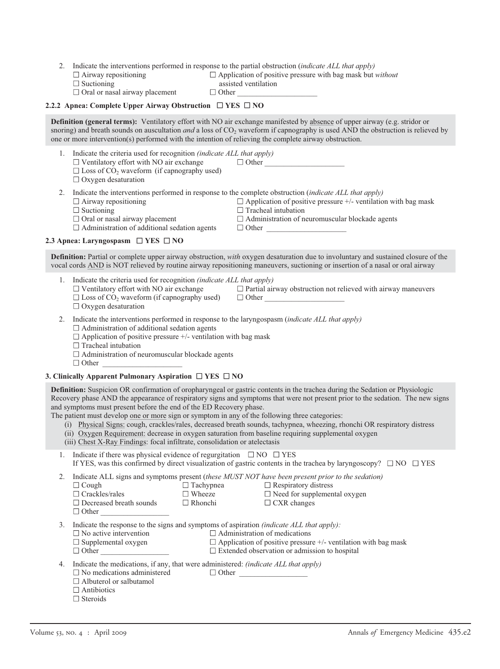2. Indicate the interventions performed in response to the partial obstruction (*indicate ALL that apply)*

- $\Box$  Airway repositioning  $\Box$  Application of positive pressure with bag mask but *without* assisted ventilation
	-

assisted ventilation<br> $\Box$  Other

#### $\Box$  Oral or nasal airway placement

#### **2.2.2 Apnea: Complete Upper Airway Obstruction**  $\Box$  **YES**  $\Box$  **NO**

**Definition (general terms):** Ventilatory effort with NO air exchange manifested by absence of upper airway (e.g. stridor or snoring) and breath sounds on auscultation *and* a loss of CO<sub>2</sub> waveform if capnography is used AND the obstruction is relieved by one or more intervention(s) performed with the intention of relieving the complete airway obstruction.

- 1. Indicate the criteria used for recognition *(indicate ALL that apply)*  $\Box$  Ventilatory effort with NO air exchange  $\Box$  Other
	- $\Box$  Ventilatory effort with NO air exchange
	- $\square$  Loss of CO<sub>2</sub> waveform (if capnography used)
	- $\Box$  Oxygen desaturation
- 2. Indicate the interventions performed in response to the complete obstruction (*indicate ALL that apply*)  $\Box$  Airway repositioning  $\Box$  Application of positive pressure  $+/-$  ventilation
	- $\Box$  Airway repositioning  $\Box$  Application of positive pressure +/- ventilation with bag mask  $\Box$  Suctioning
		-
- $\Box$  Tracheal intubation
- 
- $\Box$  Administration of additional sedation agents
- 
- 
- $\Box$  Oral or nasal airway placement  $\Box$  Administration of neuromuscular blockade agents  $\Box$  Administration of additional sedation agents  $\Box$  Other

# **2.3 Apnea: Laryngospasm**  $\Box$  **YES**  $\Box$  **NO**

**Definition:** Partial or complete upper airway obstruction, *with* oxygen desaturation due to involuntary and sustained closure of the vocal cords AND is NOT relieved by routine airway repositioning maneuvers, suctioning or insertion of a nasal or oral airway

- 1. Indicate the criteria used for recognition *(indicate ALL that apply)*
	-
	- $\Box$  Ventilatory effort with NO air exchange  $\Box$  Partial airway obstruction not relieved with airway maneuvers  $\Box$  Loss of CO<sub>2</sub> waveform (if capnography used)  $\Box$  Other  $\Box$  Loss of CO<sub>2</sub> waveform (if capnography used)
	- $\Box$  Oxygen desaturation
	-
- 2. Indicate the interventions performed in response to the laryngospasm (*indicate ALL that apply)*
	- $\Box$  Administration of additional sedation agents
		- $\Box$  Application of positive pressure  $\pm$ /- ventilation with bag mask
		- $\Box$  Tracheal intubation
		- $\Box$  Administration of neuromuscular blockade agents
	- $\Box$  Other

#### **3. Clinically Apparent Pulmonary Aspiration**  $\Box$  **YES**  $\Box$  **NO**

**Definition:** Suspicion OR confirmation of oropharyngeal or gastric contents in the trachea during the Sedation or Physiologic Recovery phase AND the appearance of respiratory signs and symptoms that were not present prior to the sedation. The new signs and symptoms must present before the end of the ED Recovery phase.

- The patient must develop one or more sign or symptom in any of the following three categories:
	- (i) Physical Signs: cough, crackles/rales, decreased breath sounds, tachypnea, wheezing, rhonchi OR respiratory distress
	- (ii) Oxygen Requirement: decrease in oxygen saturation from baseline requiring supplemental oxygen
	- (iii) Chest X-Ray Findings: focal infiltrate, consolidation or atelectasis
	- 1. Indicate if there was physical evidence of regurgitation  $\square$  NO  $\square$  YES If YES, was this confirmed by direct visualization of gastric contents in the trachea by laryngoscopy?  $\Box$  NO  $\Box$  YES

2. Indicate ALL signs and symptoms present (*these MUST NOT have been present prior to the sedation*)<br>  $\square$  Cough  $\square$  Tachypnea  $\square$  Respiratory distress

- 
- $\Box$  Cough  $\Box$  Tachypnea  $\Box$  Respiratory distress  $\Box$  Crackles/rales  $\Box$  Wheeze  $\Box$  Need for supplemen
- $\square$  Wheeze  $\square$  Need for supplemental oxygen  $\square$  Rhonchi  $\square$  CXR changes  $\Box$  Decreased breath sounds  $\Box$  Rhonchi  $\Box$  CXR changes
- $\Box$  Other

3. Indicate the response to the signs and symptoms of aspiration *(indicate ALL that apply)*:<br> $\Box$  No active intervention  $\Box$  Administration of medications

- 
- 
- 
- $\Box$  No active intervention  $\Box$  Administration of medications  $\Box$  Supplemental oxygen  $\Box$  Application of positive pressur
	-
- $\Box$  Application of positive pressure +/- ventilation with bag mask
- $\Box$  Other  $\Box$  Extended observation or admission to hospital
- 4. Indicate the medications, if any, that were administered: *(indicate ALL that apply)*
	- $\Box$  No medications administered  $\Box$  Other
	- □ Albuterol or salbutamol
	- $\Box$  Antibiotics
	- □ Steroids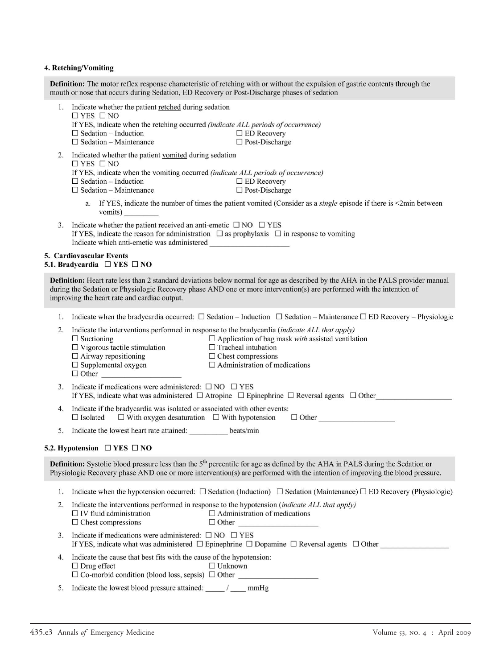# 4. Retching/Vomiting

Definition: The motor reflex response characteristic of retching with or without the expulsion of gastric contents through the mouth or nose that occurs during Sedation, ED Recovery or Post-Discharge phases of sedation

| 1. | Indicate whether the patient retched during sedation<br>$\Box$ YES $\Box$ NO<br>If YES, indicate when the retching occurred (indicate ALL periods of occurrence)                                                                  |                                                                                                                                                                                                                                                              |  |
|----|-----------------------------------------------------------------------------------------------------------------------------------------------------------------------------------------------------------------------------------|--------------------------------------------------------------------------------------------------------------------------------------------------------------------------------------------------------------------------------------------------------------|--|
|    | $\Box$ Sedation – Induction                                                                                                                                                                                                       | $\square$ ED Recovery                                                                                                                                                                                                                                        |  |
|    | $\Box$ Sedation – Maintenance                                                                                                                                                                                                     | $\Box$ Post-Discharge                                                                                                                                                                                                                                        |  |
| 2. | Indicated whether the patient vomited during sedation<br>$\Box$ YES $\Box$ NO<br>If YES, indicate when the vomiting occurred (indicate ALL periods of occurrence)<br>$\Box$ Sedation – Induction<br>$\Box$ Sedation – Maintenance | $\square$ ED Recovery<br>$\Box$ Post-Discharge                                                                                                                                                                                                               |  |
|    | a.<br>vomits)                                                                                                                                                                                                                     | If YES, indicate the number of times the patient vomited (Consider as a <i>single</i> episode if there is <2min between                                                                                                                                      |  |
| 3. | Indicate whether the patient received an anti-emetic $\Box$ NO $\Box$ YES<br>If YES, indicate the reason for administration $\Box$ as prophylaxis $\Box$ in response to vomiting<br>Indicate which anti-emetic was administered   |                                                                                                                                                                                                                                                              |  |
|    | <b>5. Cardiovascular Events</b><br>5.1. Bradycardia □ YES □ NO                                                                                                                                                                    |                                                                                                                                                                                                                                                              |  |
|    | improving the heart rate and cardiac output.                                                                                                                                                                                      | Definition: Heart rate less than 2 standard deviations below normal for age as described by the AHA in the PALS provider manual<br>during the Sedation or Physiologic Recovery phase AND one or more intervention(s) are performed with the intention of     |  |
| 1. |                                                                                                                                                                                                                                   | Indicate when the bradycardia occurred: $\Box$ Sedation – Induction $\Box$ Sedation – Maintenance $\Box$ ED Recovery – Physiologic                                                                                                                           |  |
| 2. | $\Box$ Suctioning<br>$\Box$ Vigorous tactile stimulation<br>$\Box$ Airway repositioning<br>$\Box$ Supplemental oxygen<br>$\Box$ Other                                                                                             | Indicate the interventions performed in response to the bradycardia (indicate ALL that apply)<br>$\Box$ Application of bag mask with assisted ventilation<br>$\Box$ Tracheal intubation<br>$\Box$ Chest compressions<br>$\Box$ Administration of medications |  |
| 3. | Indicate if medications were administered: $\square$ NO $\square$ YES<br>If YES, indicate what was administered $\Box$ Atropine $\Box$ Epinephrine $\Box$ Reversal agents $\Box$ Other                                            |                                                                                                                                                                                                                                                              |  |
| 4. | Indicate if the bradycardia was isolated or associated with other events:<br>$\Box$ Isolated<br>$\Box$ With oxygen desaturation $\Box$ With hypotension<br>$\Box$ Other                                                           |                                                                                                                                                                                                                                                              |  |
| 5. | Indicate the lowest heart rate attained: ___________ beats/min                                                                                                                                                                    |                                                                                                                                                                                                                                                              |  |
|    | 5.2. Hypotension □ YES □ NO                                                                                                                                                                                                       |                                                                                                                                                                                                                                                              |  |
|    |                                                                                                                                                                                                                                   | Definition: Systolic blood pressure less than the 5 <sup>th</sup> percentile for age as defined by the AHA in PALS during the Sedation or                                                                                                                    |  |
|    |                                                                                                                                                                                                                                   | Physiologic Recovery phase AND one or more intervention(s) are performed with the intention of improving the blood pressure.                                                                                                                                 |  |
| l. |                                                                                                                                                                                                                                   | Indicate when the hypotension occurred: $\Box$ Sedation (Induction) $\Box$ Sedation (Maintenance) $\Box$ ED Recovery (Physiologic)                                                                                                                           |  |
| 2. | $\Box$ IV fluid administration<br>$\Box$ Chest compressions                                                                                                                                                                       | Indicate the interventions performed in response to the hypotension (indicate ALL that apply)<br>$\Box$ Administration of medications<br>$\Box$ Other                                                                                                        |  |
| 3. | Indicate if medications were administered: $\square$ NO $\square$ YES<br>If YES, indicate what was administered $\Box$ Epinephrine $\Box$ Dopamine $\Box$ Reversal agents $\Box$ Other                                            |                                                                                                                                                                                                                                                              |  |
| 4. | Indicate the cause that best fits with the cause of the hypotension:<br>$\Box$ Drug effect<br>$\Box$ Co-morbid condition (blood loss, sepsis) $\Box$ Other                                                                        | $\Box$ Unknown                                                                                                                                                                                                                                               |  |